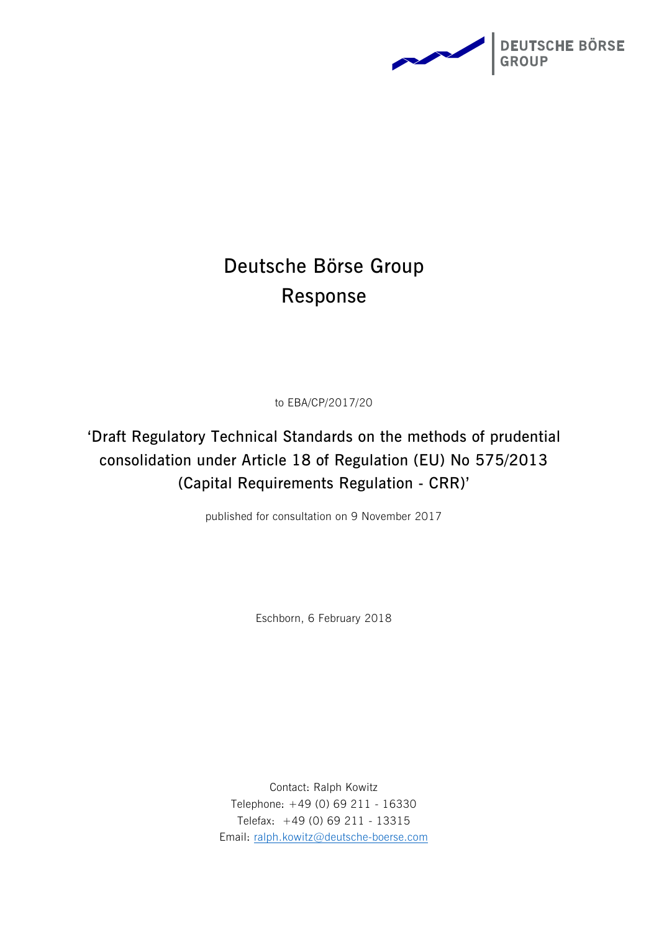

# **Deutsche Börse Group Response**

to EBA/CP/2017/20

**'Draft Regulatory Technical Standards on the methods of prudential consolidation under Article 18 of Regulation (EU) No 575/2013 (Capital Requirements Regulation - CRR)'**

published for consultation on 9 November 2017

Eschborn, 6 February 2018

Contact: Ralph Kowitz Telephone: +49 (0) 69 211 - 16330 Telefax: +49 (0) 69 211 - 13315 Email: [ralph.kowitz@deutsche-boerse.com](mailto:ralph.kowitz@deutsche-boerse.com)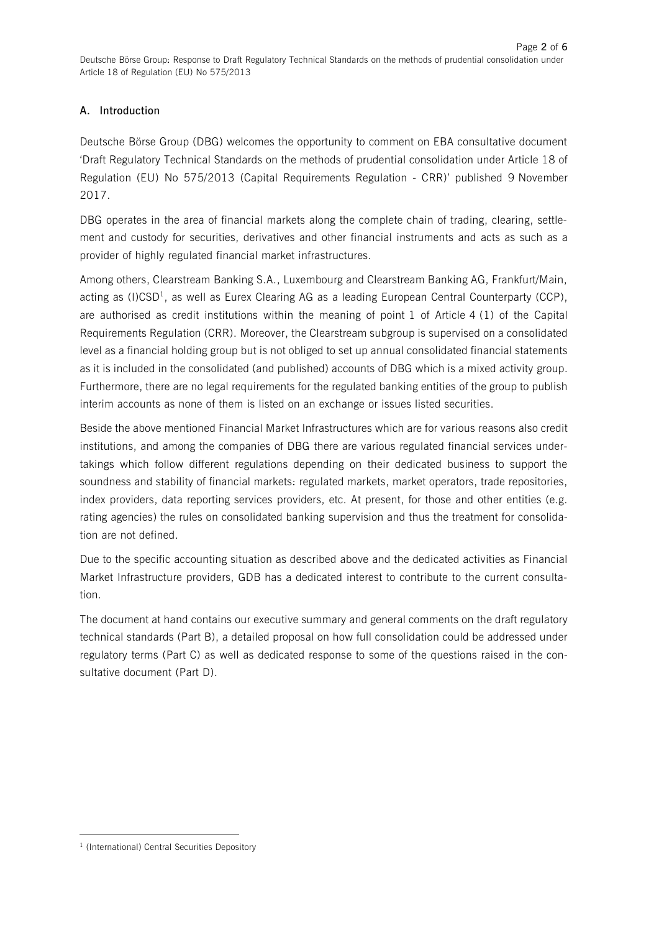## **A. Introduction**

Deutsche Börse Group (DBG) welcomes the opportunity to comment on EBA consultative document 'Draft Regulatory Technical Standards on the methods of prudential consolidation under Article 18 of Regulation (EU) No 575/2013 (Capital Requirements Regulation - CRR)' published 9 November 2017.

DBG operates in the area of financial markets along the complete chain of trading, clearing, settlement and custody for securities, derivatives and other financial instruments and acts as such as a provider of highly regulated financial market infrastructures.

Among others, Clearstream Banking S.A., Luxembourg and Clearstream Banking AG, Frankfurt/Main, acting as (I)CSD<sup>1</sup>, as well as Eurex Clearing AG as a leading European Central Counterparty (CCP), are authorised as credit institutions within the meaning of point 1 of Article 4 (1) of the Capital Requirements Regulation (CRR). Moreover, the Clearstream subgroup is supervised on a consolidated level as a financial holding group but is not obliged to set up annual consolidated financial statements as it is included in the consolidated (and published) accounts of DBG which is a mixed activity group. Furthermore, there are no legal requirements for the regulated banking entities of the group to publish interim accounts as none of them is listed on an exchange or issues listed securities.

Beside the above mentioned Financial Market Infrastructures which are for various reasons also credit institutions, and among the companies of DBG there are various regulated financial services undertakings which follow different regulations depending on their dedicated business to support the soundness and stability of financial markets: regulated markets, market operators, trade repositories, index providers, data reporting services providers, etc. At present, for those and other entities (e.g. rating agencies) the rules on consolidated banking supervision and thus the treatment for consolidation are not defined.

Due to the specific accounting situation as described above and the dedicated activities as Financial Market Infrastructure providers, GDB has a dedicated interest to contribute to the current consultation.

The document at hand contains our executive summary and general comments on the draft regulatory technical standards (Part B), a detailed proposal on how full consolidation could be addressed under regulatory terms (Part C) as well as dedicated response to some of the questions raised in the consultative document (Part D).

**.** 

<sup>&</sup>lt;sup>1</sup> (International) Central Securities Depository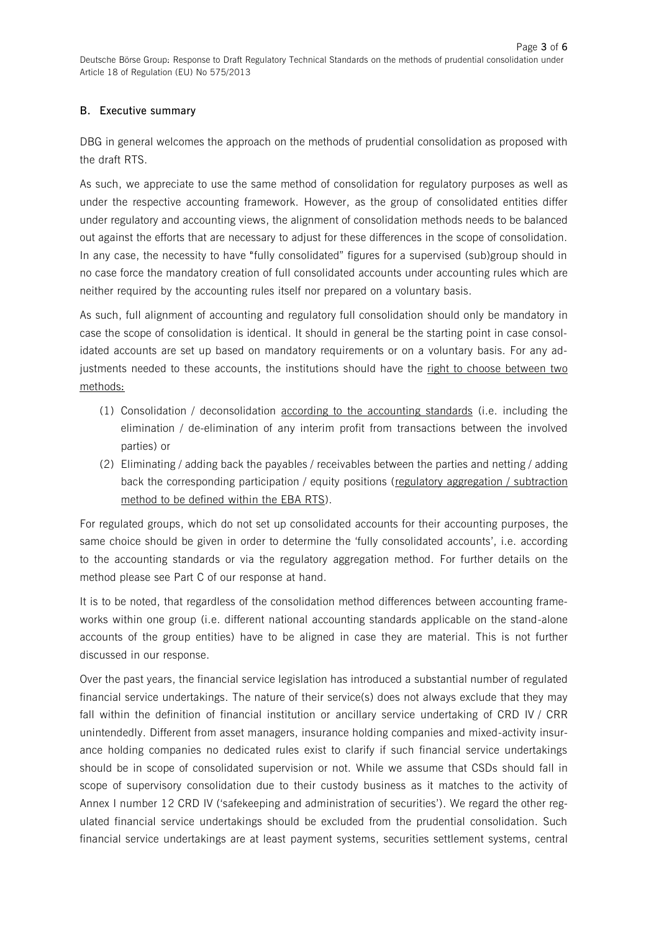#### **B. Executive summary**

DBG in general welcomes the approach on the methods of prudential consolidation as proposed with the draft RTS.

As such, we appreciate to use the same method of consolidation for regulatory purposes as well as under the respective accounting framework. However, as the group of consolidated entities differ under regulatory and accounting views, the alignment of consolidation methods needs to be balanced out against the efforts that are necessary to adjust for these differences in the scope of consolidation. In any case, the necessity to have "fully consolidated" figures for a supervised (sub)group should in no case force the mandatory creation of full consolidated accounts under accounting rules which are neither required by the accounting rules itself nor prepared on a voluntary basis.

As such, full alignment of accounting and regulatory full consolidation should only be mandatory in case the scope of consolidation is identical. It should in general be the starting point in case consolidated accounts are set up based on mandatory requirements or on a voluntary basis. For any adjustments needed to these accounts, the institutions should have the right to choose between two methods:

- (1) Consolidation / deconsolidation according to the accounting standards (i.e. including the elimination / de-elimination of any interim profit from transactions between the involved parties) or
- (2) Eliminating / adding back the payables / receivables between the parties and netting / adding back the corresponding participation / equity positions (regulatory aggregation / subtraction method to be defined within the EBA RTS).

For regulated groups, which do not set up consolidated accounts for their accounting purposes, the same choice should be given in order to determine the 'fully consolidated accounts', i.e. according to the accounting standards or via the regulatory aggregation method. For further details on the method please see Part C of our response at hand.

It is to be noted, that regardless of the consolidation method differences between accounting frameworks within one group (i.e. different national accounting standards applicable on the stand-alone accounts of the group entities) have to be aligned in case they are material. This is not further discussed in our response.

Over the past years, the financial service legislation has introduced a substantial number of regulated financial service undertakings. The nature of their service(s) does not always exclude that they may fall within the definition of financial institution or ancillary service undertaking of CRD IV / CRR unintendedly. Different from asset managers, insurance holding companies and mixed-activity insurance holding companies no dedicated rules exist to clarify if such financial service undertakings should be in scope of consolidated supervision or not. While we assume that CSDs should fall in scope of supervisory consolidation due to their custody business as it matches to the activity of Annex I number 12 CRD IV ('safekeeping and administration of securities'). We regard the other regulated financial service undertakings should be excluded from the prudential consolidation. Such financial service undertakings are at least payment systems, securities settlement systems, central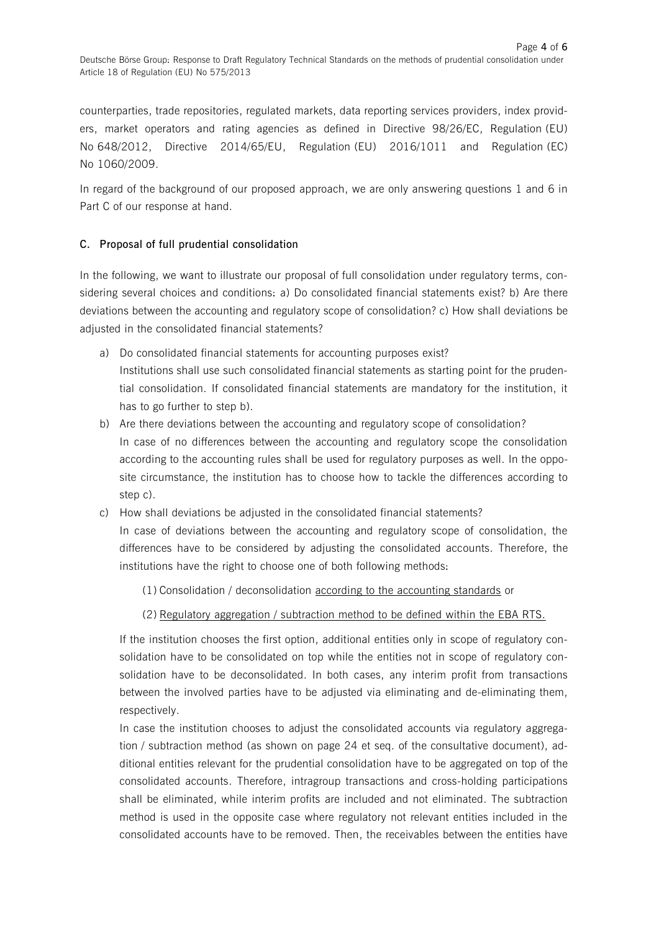counterparties, trade repositories, regulated markets, data reporting services providers, index providers, market operators and rating agencies as defined in Directive 98/26/EC, Regulation (EU) No 648/2012, Directive 2014/65/EU, Regulation (EU) 2016/1011 and Regulation (EC) No 1060/2009.

In regard of the background of our proposed approach, we are only answering questions 1 and 6 in Part C of our response at hand.

#### **C. Proposal of full prudential consolidation**

In the following, we want to illustrate our proposal of full consolidation under regulatory terms, considering several choices and conditions: a) Do consolidated financial statements exist? b) Are there deviations between the accounting and regulatory scope of consolidation? c) How shall deviations be adjusted in the consolidated financial statements?

- a) Do consolidated financial statements for accounting purposes exist? Institutions shall use such consolidated financial statements as starting point for the prudential consolidation. If consolidated financial statements are mandatory for the institution, it has to go further to step b).
- b) Are there deviations between the accounting and regulatory scope of consolidation? In case of no differences between the accounting and regulatory scope the consolidation according to the accounting rules shall be used for regulatory purposes as well. In the opposite circumstance, the institution has to choose how to tackle the differences according to step c).
- c) How shall deviations be adjusted in the consolidated financial statements? In case of deviations between the accounting and regulatory scope of consolidation, the differences have to be considered by adjusting the consolidated accounts. Therefore, the institutions have the right to choose one of both following methods:

(1) Consolidation / deconsolidation according to the accounting standards or

### (2) Regulatory aggregation / subtraction method to be defined within the EBA RTS.

If the institution chooses the first option, additional entities only in scope of regulatory consolidation have to be consolidated on top while the entities not in scope of regulatory consolidation have to be deconsolidated. In both cases, any interim profit from transactions between the involved parties have to be adjusted via eliminating and de-eliminating them, respectively.

In case the institution chooses to adjust the consolidated accounts via regulatory aggregation / subtraction method (as shown on page 24 et seq. of the consultative document), additional entities relevant for the prudential consolidation have to be aggregated on top of the consolidated accounts. Therefore, intragroup transactions and cross-holding participations shall be eliminated, while interim profits are included and not eliminated. The subtraction method is used in the opposite case where regulatory not relevant entities included in the consolidated accounts have to be removed. Then, the receivables between the entities have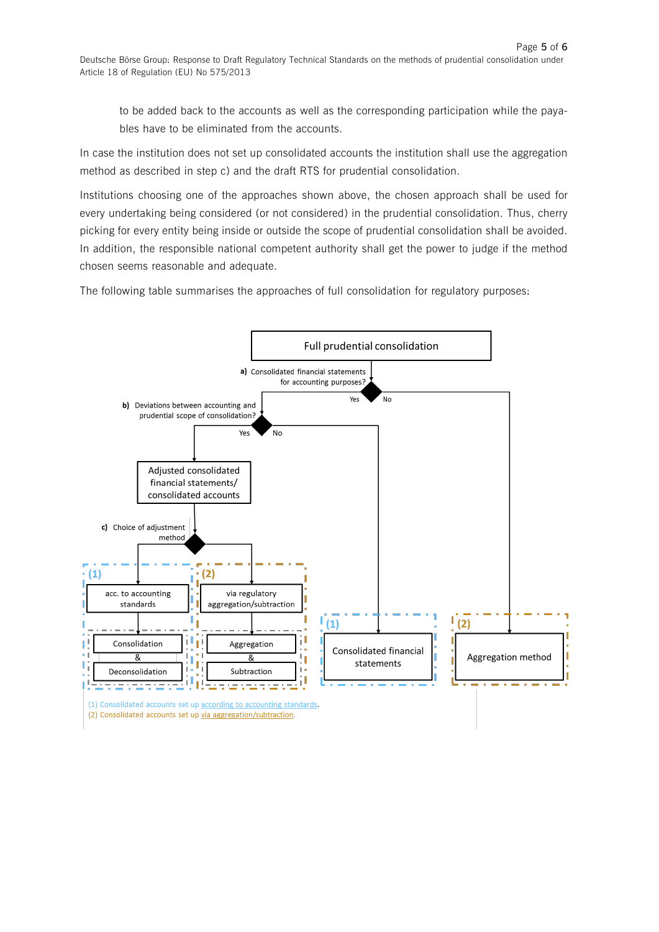to be added back to the accounts as well as the corresponding participation while the payables have to be eliminated from the accounts.

In case the institution does not set up consolidated accounts the institution shall use the aggregation method as described in step c) and the draft RTS for prudential consolidation.

Institutions choosing one of the approaches shown above, the chosen approach shall be used for every undertaking being considered (or not considered) in the prudential consolidation. Thus, cherry picking for every entity being inside or outside the scope of prudential consolidation shall be avoided. In addition, the responsible national competent authority shall get the power to judge if the method chosen seems reasonable and adequate.

The following table summarises the approaches of full consolidation for regulatory purposes:



(1) Consolidated accounts set up according to accounting standards. (2) Consolidated accounts set up via aggregation/subtraction.